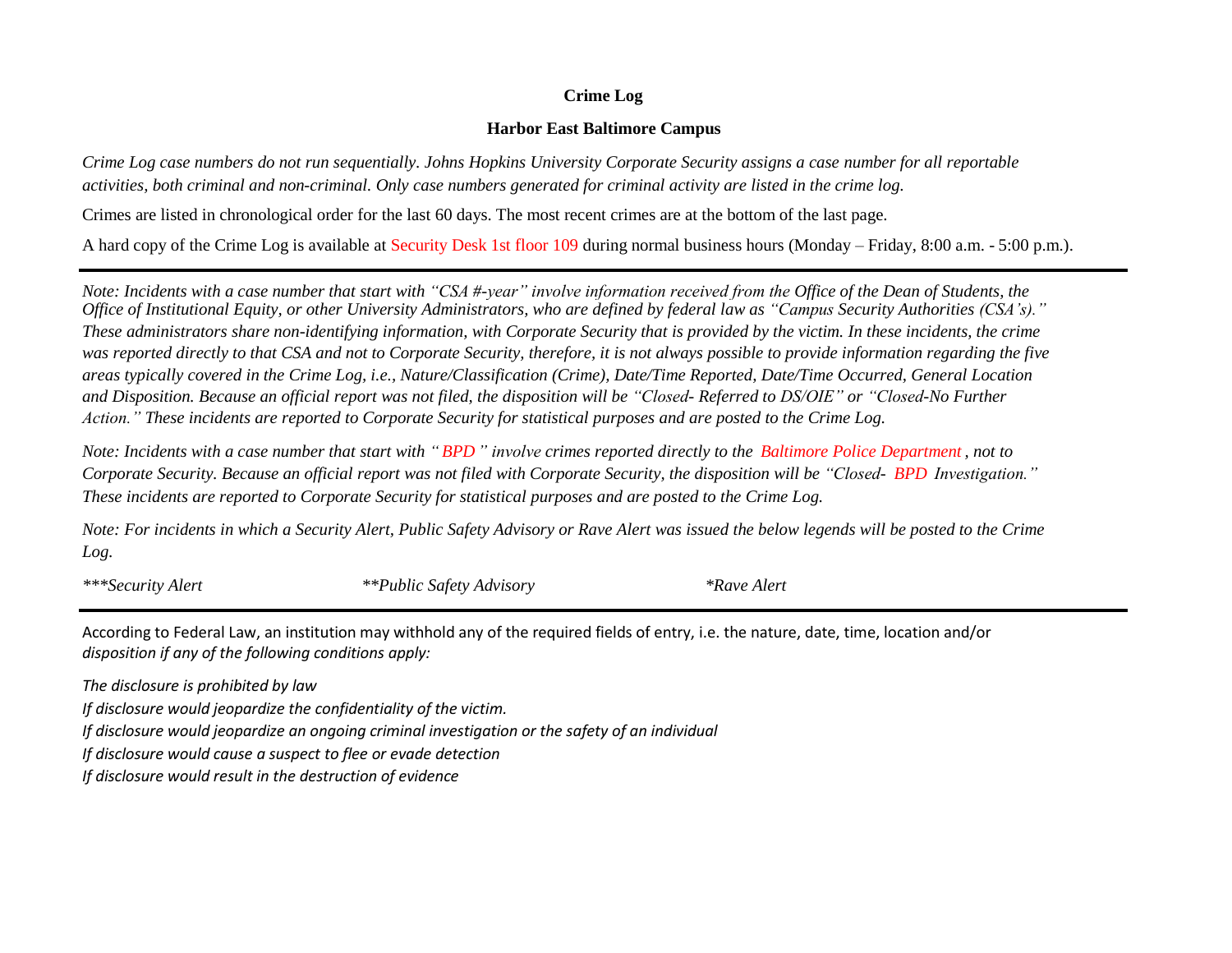## **Crime Log**

## **Harbor East Baltimore Campus**

*Crime Log case numbers do not run sequentially. Johns Hopkins University Corporate Security assigns a case number for all reportable activities, both criminal and non-criminal. Only case numbers generated for criminal activity are listed in the crime log.*

Crimes are listed in chronological order for the last 60 days. The most recent crimes are at the bottom of the last page.

A hard copy of the Crime Log is available at Security Desk 1st floor 109 during normal business hours (Monday – Friday, 8:00 a.m. - 5:00 p.m.).

*Note: Incidents with a case number that start with "CSA #-year" involve information received from the Office of the Dean of Students, the Office of Institutional Equity, or other University Administrators, who are defined by federal law as "Campus Security Authorities (CSA's)." These administrators share non-identifying information, with Corporate Security that is provided by the victim. In these incidents, the crime was reported directly to that CSA and not to Corporate Security, therefore, it is not always possible to provide information regarding the five areas typically covered in the Crime Log, i.e., Nature/Classification (Crime), Date/Time Reported, Date/Time Occurred, General Location and Disposition. Because an official report was not filed, the disposition will be "Closed- Referred to DS/OIE" or "Closed-No Further Action." These incidents are reported to Corporate Security for statistical purposes and are posted to the Crime Log.*

*Note: Incidents with a case number that start with " BPD " involve crimes reported directly to the Baltimore Police Department , not to Corporate Security. Because an official report was not filed with Corporate Security, the disposition will be "Closed- BPD Investigation." These incidents are reported to Corporate Security for statistical purposes and are posted to the Crime Log.*

*Note: For incidents in which a Security Alert, Public Safety Advisory or Rave Alert was issued the below legends will be posted to the Crime Log.*

*\*\*\*Security Alert \*\*Public Safety Advisory \*Rave Alert*

According to Federal Law, an institution may withhold any of the required fields of entry, i.e. the nature, date, time, location and/or *disposition if any of the following conditions apply:*

*The disclosure is prohibited by law*

*If disclosure would jeopardize the confidentiality of the victim.*

*If disclosure would jeopardize an ongoing criminal investigation or the safety of an individual*

*If disclosure would cause a suspect to flee or evade detection*

*If disclosure would result in the destruction of evidence*